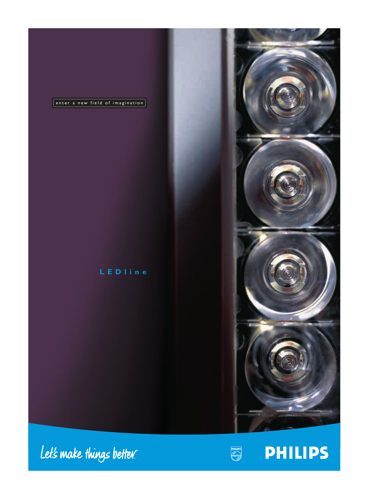enter a new field of imagination

# **LEDline**

Let's make things better.



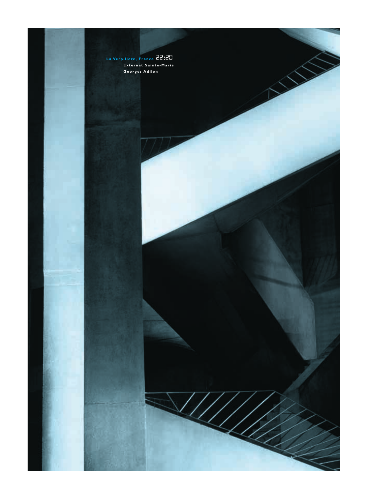

<u>SU</u>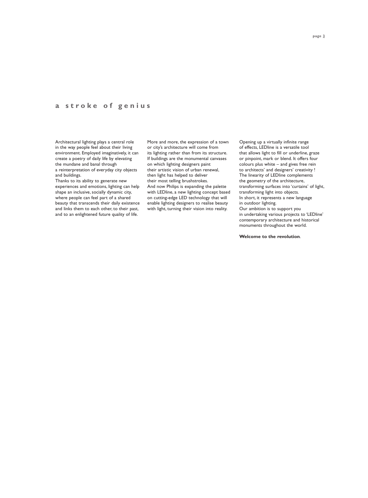### **a stroke of genius**

Architectural lighting plays a central role in the way people feel about their living environment. Employed imaginatively, it can create a poetry of daily life by elevating the mundane and banal through a reinterpretation of everyday city objects and buildings.

Thanks to its ability to generate new experiences and emotions, lighting can help shape an inclusive, socially dynamic city, where people can feel part of a shared beauty that transcends their daily existence and links them to each other, to their past, and to an enlightened future quality of life.

More and more, the expression of a town or city's architecture will come from its lighting rather than from its structure. If buildings are the monumental canvases on which lighting designers paint their artistic vision of urban renewal, then light has helped to deliver their most telling brushstrokes. And now Philips is expanding the palette with LEDline, a new lighting concept based on cutting-edge LED technology that will enable lighting designers to realise beauty with light, turning their vision into reality.

Opening up a virtually infinite range of effects, LEDline is a versatile tool that allows light to fill or underline, graze or pinpoint, mark or blend. It offers four colours plus white – and gives free rein to architects' and designers' creativity ! The linearity of LEDline complements the geometry of the architecture, transforming surfaces into 'curtains' of light, transforming light into objects. In short, it represents a new language in outdoor lighting. Our ambition is to support you in undertaking various projects to 'LEDline' contemporary architecture and historical

**Welcome to the revolution**.

monuments throughout the world.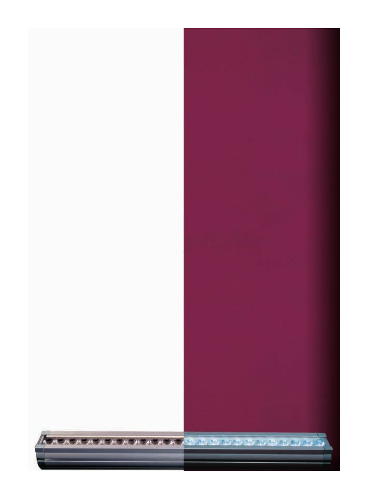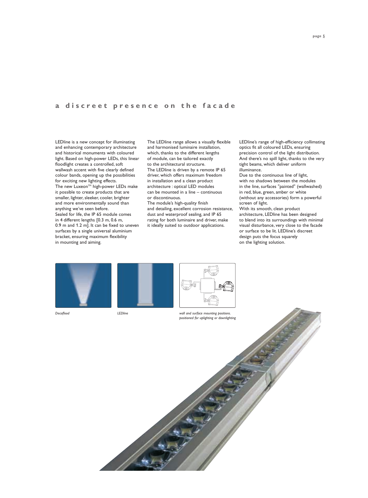### **a discreet presence on the facade**

LEDline is a new concept for illuminating and enhancing contemporary architecture and historical monuments with coloured light. Based on high-power LEDs, this linear floodlight creates a controlled, soft wallwash accent with five clearly defined colour bands, opening up the possibilities for exciting new lighting effects. The new Luxeon<sup>™</sup> high-power LEDs make it possible to create products that are smaller, lighter, sleeker, cooler, brighter and more environmentally sound than anything we've seen before. Sealed for life, the IP 65 module comes in 4 different lengths [0.3 m, 0.6 m, 0.9 m and 1.2 m]. It can be fixed to uneven surfaces by a single universal aluminium bracket, ensuring maximum flexibility in mounting and aiming.

The LEDline range allows a visually flexible and harmonised luminaire installation, which, thanks to the different lengths of module, can be tailored exactly to the architectural structure. The LEDline is driven by a remote IP 65 driver, which offers maximum freedom in installation and a clean product architecture : optical LED modules can be mounted in a line – continuous or discontinuous.

The module's high-quality finish and detailing, excellent corrosion resistance, dust and waterproof sealing, and IP 65 rating for both luminaire and driver, make it ideally suited to outdoor applications.

LEDline's range of high-efficiency collimating optics fit all coloured LEDs, ensuring precision control of the light distribution. And there's no spill light, thanks to the very tight beams, which deliver uniform illuminance.

Due to the continuous line of light, with no shadows between the modules in the line, surfaces "painted" (wallwashed) in red, blue, green, amber or white (without any accessories) form a powerful screen of light.

With its smooth, clean product architecture, LEDline has been designed to blend into its surroundings with minimal visual disturbance, very close to the facade or surface to be lit. LEDline's discreet design puts the focus squarely on the lighting solution.



*Decoflood LEDline*



*wall and surface mounting positions. positioned for uplighting or downlighting*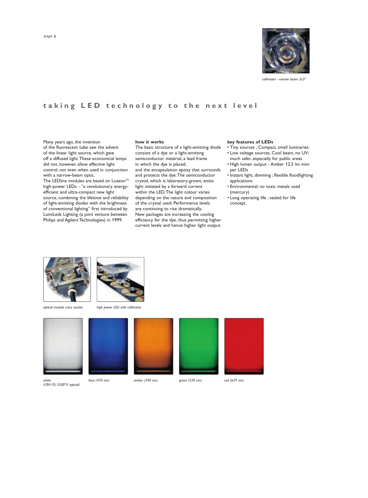



*collimator - narrow beam 2x3°*

## **taking LED technology to the next level**

Many years ago, the invention of the fluorescent tube saw the advent of the linear light source, which gave off a diffused light.These economical lamps did not, however, allow effective light control, not even when used in conjunction with a narrow-beam optic.

The LEDline modules are based on Luxeon<sup>™</sup> high-power LEDs - "a revolutionary energyefficient and ultra-compact new light source, combining the lifetime and reliability of light-emitting diodes with the brightness of conventional lighting" first introduced by LumiLeds Lighting (a joint venture between Philips and Agilent Technologies) in 1999.

#### **how it works**

The basic structure of a light-emitting diode consists of a dye or a light-emitting semiconductor material, a lead frame in which the dye is placed, and the encapsulation epoxy that surrounds and protects the dye.The semiconductor crystal, which is laboratory-grown, emits light initiated by a forward current within the LED.The light colour varies depending on the nature and composition of the crystal used. Performance levels are continuing to rise dramatically. New packages are increasing the cooling efficiency for the dye, thus permitting higher current levels and hence higher light output.

#### **key features of LEDs**

- Tiny sources ; Compact, small luminaries
- Low voltage sources, Cool beam, no UV;
- much safer, especially for public areas • High lumen output - Amber 12,5 lm mini per LEDs
- Instant light, dimming ; flexible floodlighting applications
- Environmental; no toxic metals used (mercury)
- Long operating life ; sealed for life concept.





*optical module cross section high power LED with collimator*



*white (CRI=70, 5500°K typical)*







*blue (470 nm) green (530 nm) amber (590 nm) red (629 nm)*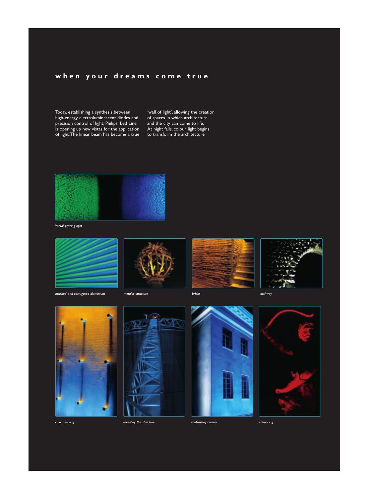## **when your dreams come true**

Today, establishing a synthesis between high-energy electroluminescent diodes and precision control of light, Philips' Led Line is opening up new vistas for the application of light.The linear beam has become a true

'wall of light', allowing the creation of spaces in which architecture and the city can come to life. At night falls, colour light begins to transform the architecture



*lateral grazing light*



*brushed and corrugated aluminium metallic structure bricks archway*





*colour mixing colour mixing colours contrasting colours contrasting colours contrasting colours* **<b>***contrasting colours contrasting colours contrasting colours contrasting colours contr* 





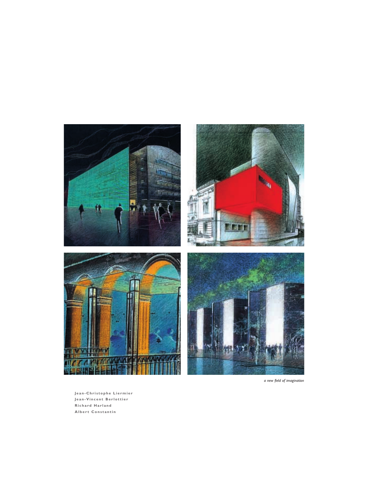

*a new field of imagination*

**Jean-Christophe Liermier Jean-Vincent Berlottier Richard Harland Albert Constantin**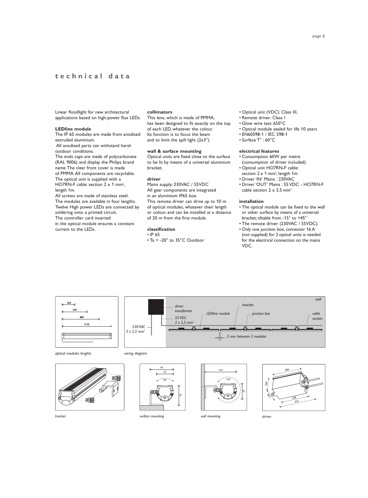## **technical data**

Linear floodlight for new architectural applications based on high-power flux LEDs

#### **LEDline module**

The IP 65 modules are made from anodised extruded aluminium.

All anodised parts can withstand harsh outdoor conditions.

The ends caps are made of polycarbonate (RAL 9006) and display the Philips brand name.The clear front cover is made of PMMA.All components are recyclable. The optical unit is supplied with a HO7RN-F cable: section  $2 \times 1$  mm<sup>2</sup>, length 1m.

All screws are made of stainless steel. The modules are available in four lengths. Twelve High power LEDs are connected by soldering onto a printed circuit. The controller card inserted in the optical module ensures a constant current to the LEDs.

#### **collimators**

This lens, which is made of PMMA, has been designed to fit exactly on the top of each LED, whatever the colour. Its function is to focus the beam and to limit the spill light  $(2x3°)$ .

#### **wall & surface mounting**

Optical units are fixed close to the surface to be lit by means of a universal aluminium bracket.

#### **driver**

Mains supply: 230VAC / 55VDC All gear components are integrated in an aluminium IP65 box. This remote driver can drive up to 10 m of optical modules, whatever their length or colour, and can be installed at a distance of 20 m from the first module.

#### **classification**

- IP 65
- Ta = -20° to 35°C Outdoor

*driver transformer 55 VDC* 2 x 2.5 mm

- Optical unit (VDC): Class III,
- Remote driver: Class I
- Glow wire test: 650°C
- Optical module sealed for life 10 years
- EN60598-1 / IEC 598-1
- Surface T° : 60°C

#### **electrical features**

- Consumption 60W per metre (consumption of driver included)
- Optical unit HO7RN-F cable: section  $2 \times 1$  mm<sup>2</sup>; length 1m
- Driver 'IN' Mains : 230VAC
- Driver 'OUT' Mains : 55 VDC HO7RN-F cable section  $2 \times 2.5$  mm<sup>2</sup>

#### **installation**

- The optical module can be fixed to the wall or other surface by means of a universal bracket; tiltable from -15° to +45°
- The remote driver (230VAC / 55VDC).
- Only one junction box, connector 16 A (not supplied) for 2 optical units is needed for the electrical connection on the mains VDC.

*junction box* 2008 and 2008 and 2008 and 2008 and 2008 and 2008 and 2008 and 2008 and 2008 and 2008 and 2008 and 2008 and 2008 and 2008 and 2008 and 2008 and 2008 and 2008 and 2008 and 2008 and 2008 and 2008 and 2008 and



*optical modules lenghts wiring diagram*



*230 VAC 3 x 2,5 mm2*



*bracket surface mounting wall mounting*



*5 mm between 2 modules*

*bracket*

*LEDline module*



*wall*

*section*

*driver*